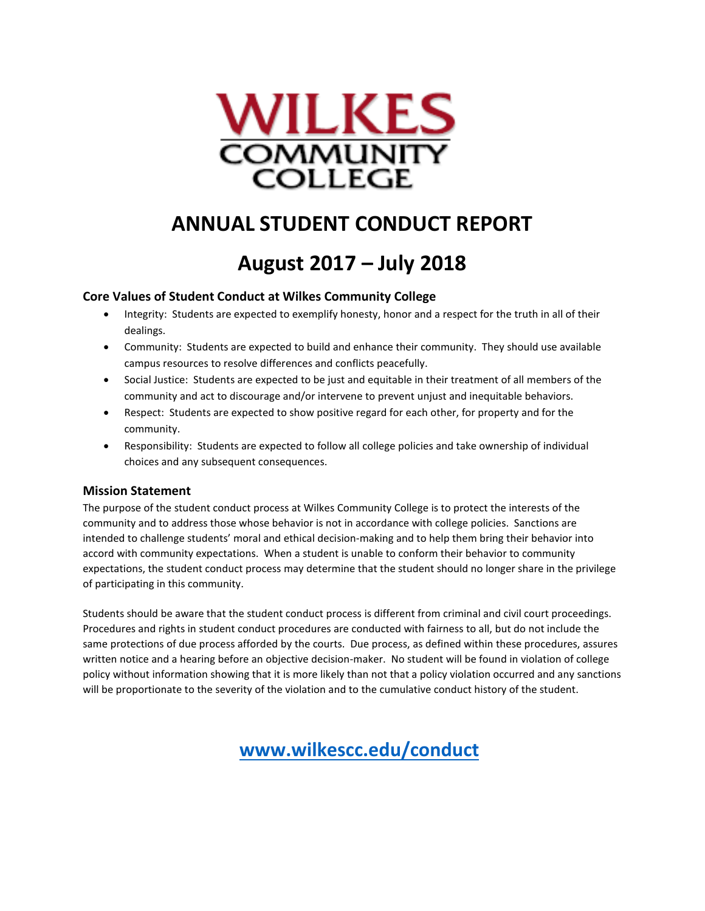

# **ANNUAL STUDENT CONDUCT REPORT**

# **August 2017 – July 2018**

#### **Core Values of Student Conduct at Wilkes Community College**

- Integrity: Students are expected to exemplify honesty, honor and a respect for the truth in all of their dealings.
- Community: Students are expected to build and enhance their community. They should use available campus resources to resolve differences and conflicts peacefully.
- Social Justice: Students are expected to be just and equitable in their treatment of all members of the community and act to discourage and/or intervene to prevent unjust and inequitable behaviors.
- Respect: Students are expected to show positive regard for each other, for property and for the community.
- Responsibility: Students are expected to follow all college policies and take ownership of individual choices and any subsequent consequences.

#### **Mission Statement**

The purpose of the student conduct process at Wilkes Community College is to protect the interests of the community and to address those whose behavior is not in accordance with college policies. Sanctions are intended to challenge students' moral and ethical decision-making and to help them bring their behavior into accord with community expectations. When a student is unable to conform their behavior to community expectations, the student conduct process may determine that the student should no longer share in the privilege of participating in this community.

Students should be aware that the student conduct process is different from criminal and civil court proceedings. Procedures and rights in student conduct procedures are conducted with fairness to all, but do not include the same protections of due process afforded by the courts. Due process, as defined within these procedures, assures written notice and a hearing before an objective decision-maker. No student will be found in violation of college policy without information showing that it is more likely than not that a policy violation occurred and any sanctions will be proportionate to the severity of the violation and to the cumulative conduct history of the student.

 **[www.wilkescc.edu/conduct](http://www.wilkescc.edu/conduct)**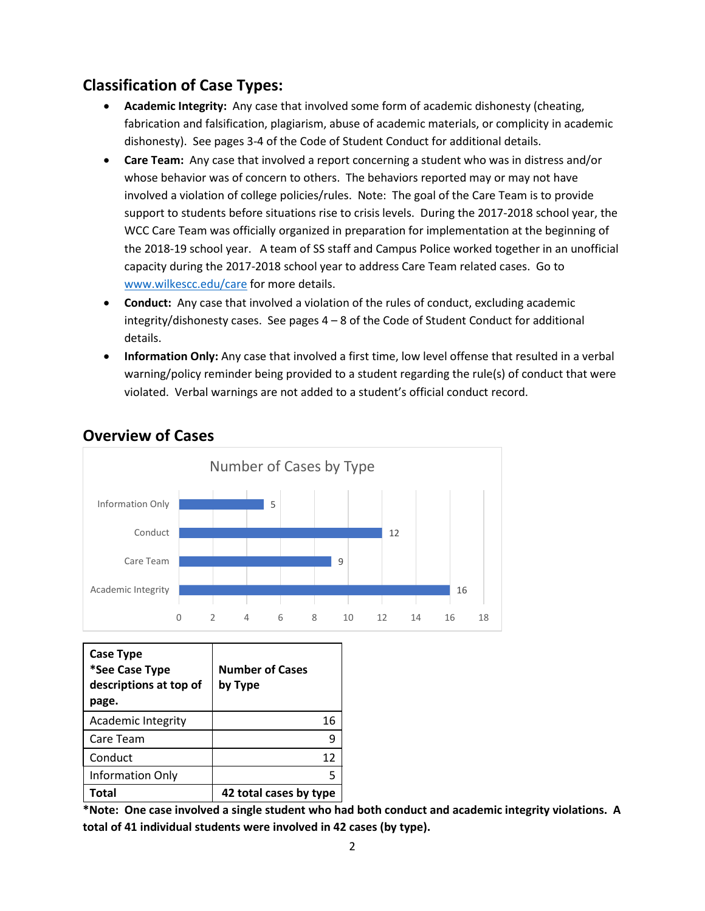#### **Classification of Case Types:**

- **Academic Integrity:** Any case that involved some form of academic dishonesty (cheating, fabrication and falsification, plagiarism, abuse of academic materials, or complicity in academic dishonesty). See pages 3-4 of the Code of Student Conduct for additional details.
- **Care Team:** Any case that involved a report concerning a student who was in distress and/or whose behavior was of concern to others. The behaviors reported may or may not have involved a violation of college policies/rules. Note: The goal of the Care Team is to provide support to students before situations rise to crisis levels. During the 2017-2018 school year, the WCC Care Team was officially organized in preparation for implementation at the beginning of the 2018-19 school year. A team of SS staff and Campus Police worked together in an unofficial capacity during the 2017-2018 school year to address Care Team related cases. Go to [www.wilkescc.edu/care](http://www.wilkescc.edu/care) for more details.
- **Conduct:** Any case that involved a violation of the rules of conduct, excluding academic integrity/dishonesty cases. See pages 4 – 8 of the Code of Student Conduct for additional details.
- **Information Only:** Any case that involved a first time, low level offense that resulted in a verbal warning/policy reminder being provided to a student regarding the rule(s) of conduct that were violated. Verbal warnings are not added to a student's official conduct record.



#### **Overview of Cases**

| Case Type<br>*See Case Type<br>descriptions at top of<br>page. | <b>Number of Cases</b><br>by Type |
|----------------------------------------------------------------|-----------------------------------|
| <b>Academic Integrity</b>                                      | 16                                |
| Care Team                                                      | q                                 |
| Conduct                                                        | 12                                |
| Information Only                                               | 5                                 |
| Total                                                          | 42 total cases by type            |

**\*Note: One case involved a single student who had both conduct and academic integrity violations. A total of 41 individual students were involved in 42 cases (by type).**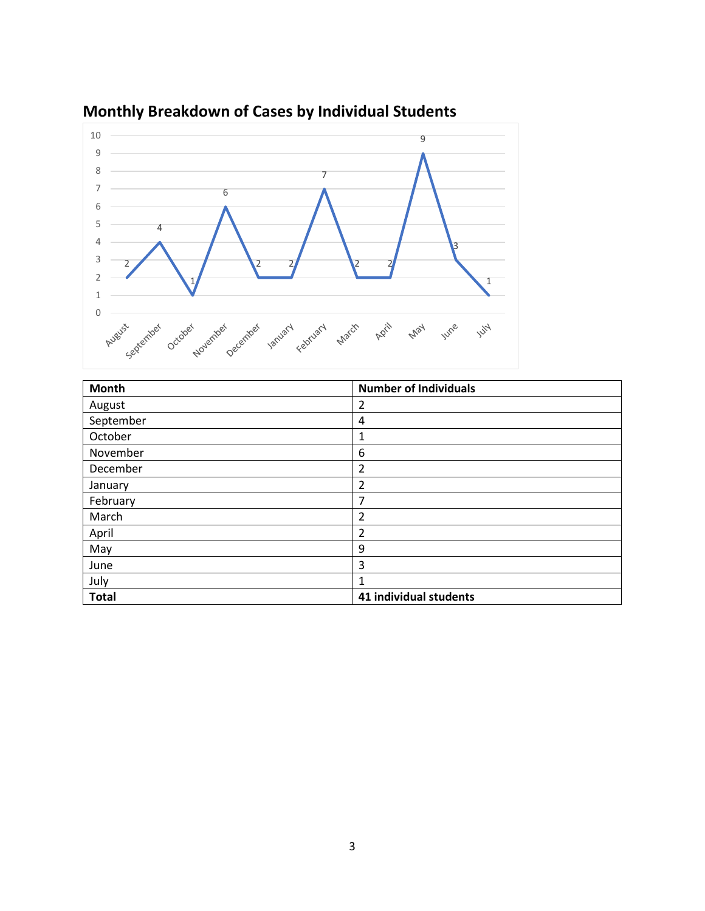

# **Monthly Breakdown of Cases by Individual Students**

| <b>Month</b> | <b>Number of Individuals</b> |
|--------------|------------------------------|
| August       | $\overline{2}$               |
| September    | 4                            |
| October      | 1                            |
| November     | 6                            |
| December     | 2                            |
| January      | 2                            |
| February     | 7                            |
| March        | $\overline{2}$               |
| April        | $\overline{2}$               |
| May          | 9                            |
| June         | 3                            |
| July         | 1                            |
| <b>Total</b> | 41 individual students       |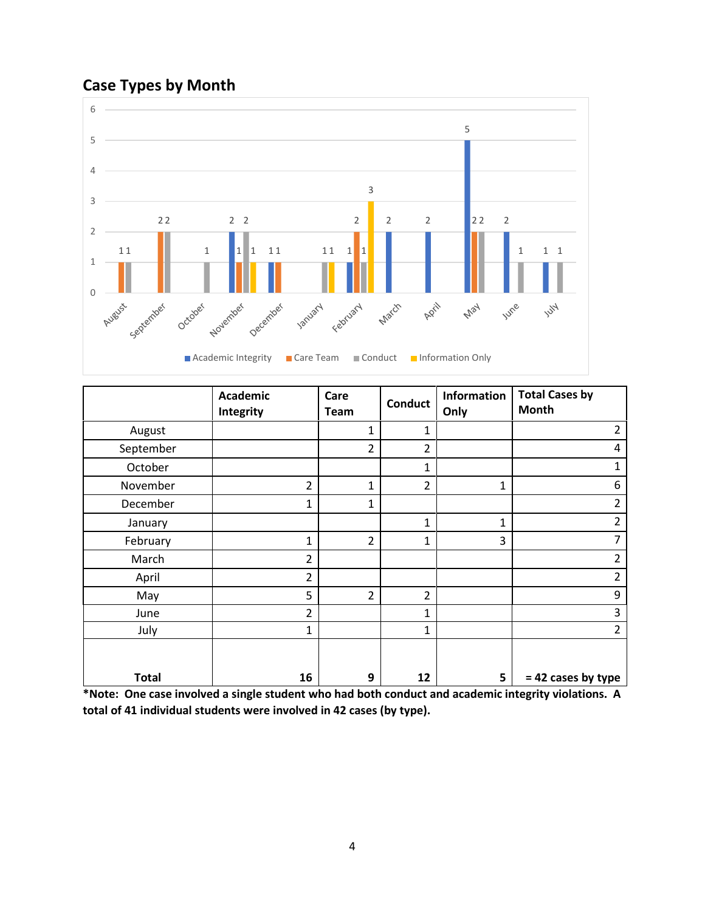# **Case Types by Month**



|              | <b>Academic</b><br>Integrity | Care<br>Team   | <b>Conduct</b> | Information<br>Only | <b>Total Cases by</b><br>Month |
|--------------|------------------------------|----------------|----------------|---------------------|--------------------------------|
| August       |                              | $\mathbf{1}$   | $\mathbf{1}$   |                     | $\overline{2}$                 |
| September    |                              | $\overline{2}$ | $\overline{2}$ |                     | 4                              |
| October      |                              |                | $\mathbf{1}$   |                     | 1                              |
| November     | $\overline{2}$               | 1              | $\overline{2}$ | 1                   | 6                              |
| December     | 1                            | 1              |                |                     | $\overline{2}$                 |
| January      |                              |                | $\mathbf{1}$   | 1                   | $\overline{2}$                 |
| February     | 1                            | $\overline{2}$ | $\mathbf{1}$   | 3                   | $\overline{7}$                 |
| March        | $\overline{2}$               |                |                |                     | $\overline{2}$                 |
| April        | $\overline{2}$               |                |                |                     | $\overline{2}$                 |
| May          | 5                            | $\overline{2}$ | $\overline{2}$ |                     | 9                              |
| June         | $\overline{2}$               |                | 1              |                     | 3                              |
| July         | 1                            |                | $\mathbf{1}$   |                     | $\overline{2}$                 |
| <b>Total</b> | 16                           | 9              | 12             | 5                   | $= 42$ cases by type           |

**\*Note: One case involved a single student who had both conduct and academic integrity violations. A total of 41 individual students were involved in 42 cases (by type).**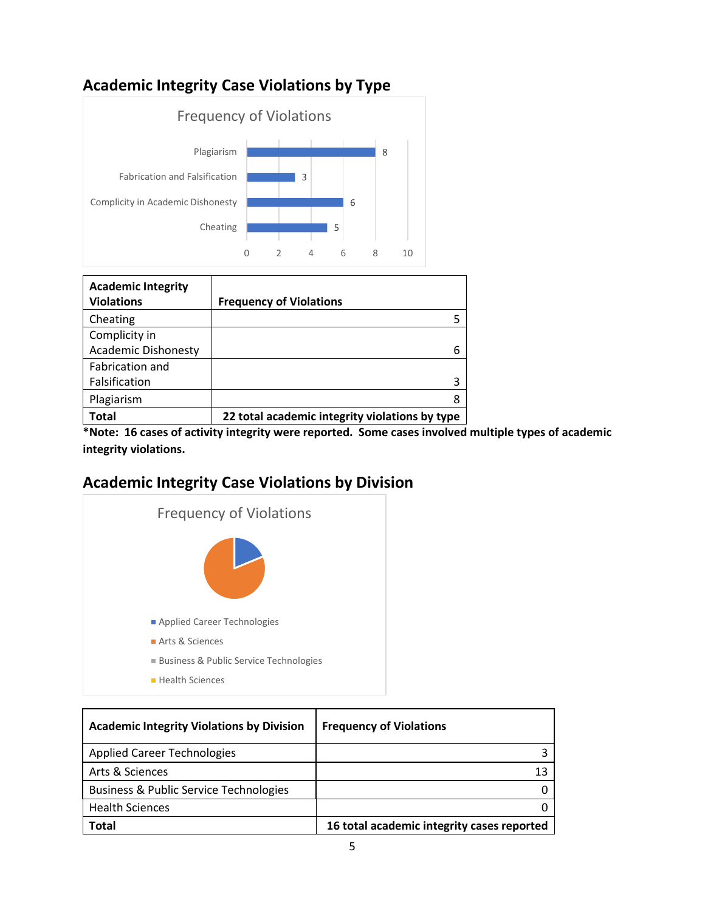# **Academic Integrity Case Violations by Type**



| <b>Academic Integrity</b>  |                                                |
|----------------------------|------------------------------------------------|
| <b>Violations</b>          | <b>Frequency of Violations</b>                 |
| Cheating                   |                                                |
| Complicity in              |                                                |
| <b>Academic Dishonesty</b> | 6                                              |
| Fabrication and            |                                                |
| Falsification              | 3                                              |
| Plagiarism                 | 8                                              |
| Total                      | 22 total academic integrity violations by type |

**\*Note: 16 cases of activity integrity were reported. Some cases involved multiple types of academic integrity violations.** 

#### **Academic Integrity Case Violations by Division**



| <b>Academic Integrity Violations by Division</b>  | <b>Frequency of Violations</b>             |
|---------------------------------------------------|--------------------------------------------|
| <b>Applied Career Technologies</b>                |                                            |
| Arts & Sciences                                   | 13                                         |
| <b>Business &amp; Public Service Technologies</b> |                                            |
| <b>Health Sciences</b>                            |                                            |
| Total                                             | 16 total academic integrity cases reported |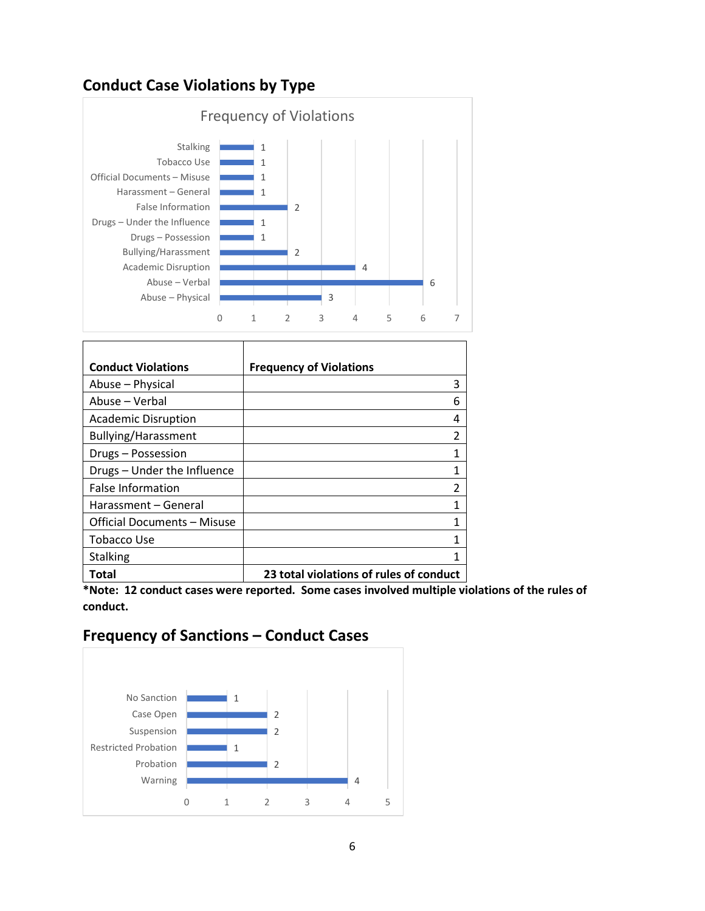### **Conduct Case Violations by Type**



| <b>Conduct Violations</b>          | <b>Frequency of Violations</b>          |
|------------------------------------|-----------------------------------------|
| Abuse - Physical                   | 3                                       |
| Abuse – Verbal                     | 6                                       |
| <b>Academic Disruption</b>         | 4                                       |
| Bullying/Harassment                | $\mathfrak{p}$                          |
| Drugs - Possession                 | 1                                       |
| Drugs - Under the Influence        | 1                                       |
| <b>False Information</b>           | 2                                       |
| Harassment – General               | 1                                       |
| <b>Official Documents - Misuse</b> | 1                                       |
| Tobacco Use                        | 1                                       |
| <b>Stalking</b>                    | 1                                       |
| Total                              | 23 total violations of rules of conduct |

**\*Note: 12 conduct cases were reported. Some cases involved multiple violations of the rules of conduct.** 

# **Frequency of Sanctions – Conduct Cases**

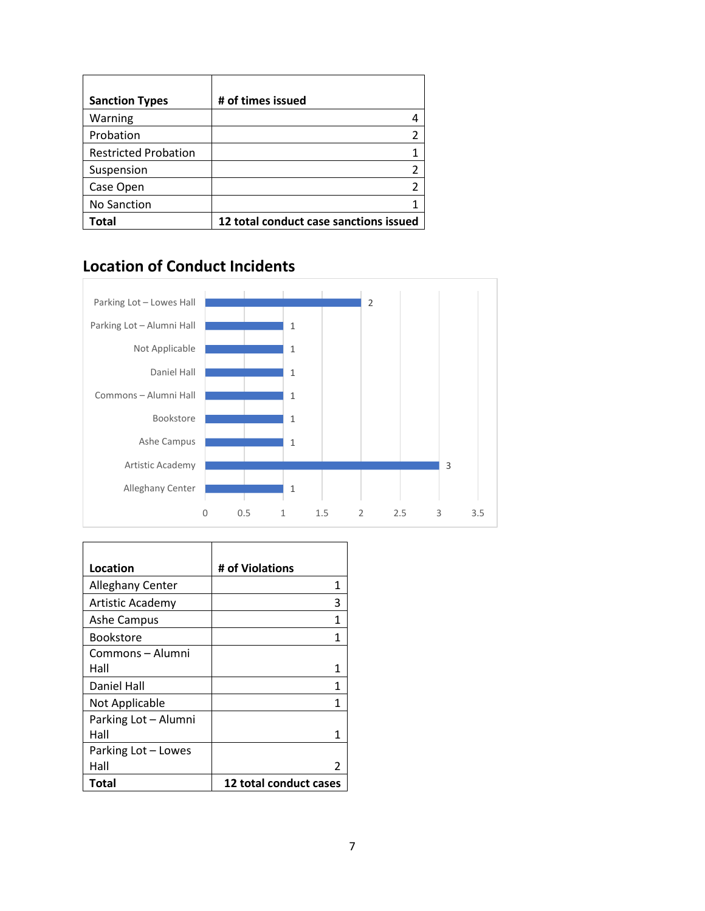| <b>Sanction Types</b>       | # of times issued                      |
|-----------------------------|----------------------------------------|
| Warning                     |                                        |
| Probation                   | 2                                      |
| <b>Restricted Probation</b> |                                        |
| Suspension                  |                                        |
| Case Open                   | 2                                      |
| No Sanction                 |                                        |
| Total                       | 12 total conduct case sanctions issued |

#### **Location of Conduct Incidents**



| Location             | # of Violations        |
|----------------------|------------------------|
| Alleghany Center     | 1                      |
| Artistic Academy     | 3                      |
| <b>Ashe Campus</b>   | 1                      |
| <b>Bookstore</b>     | 1                      |
| Commons – Alumni     |                        |
| Hall                 |                        |
| Daniel Hall          | 1                      |
| Not Applicable       | 1                      |
| Parking Lot - Alumni |                        |
| Hall                 |                        |
| Parking Lot – Lowes  |                        |
| Hall                 |                        |
| Total                | 12 total conduct cases |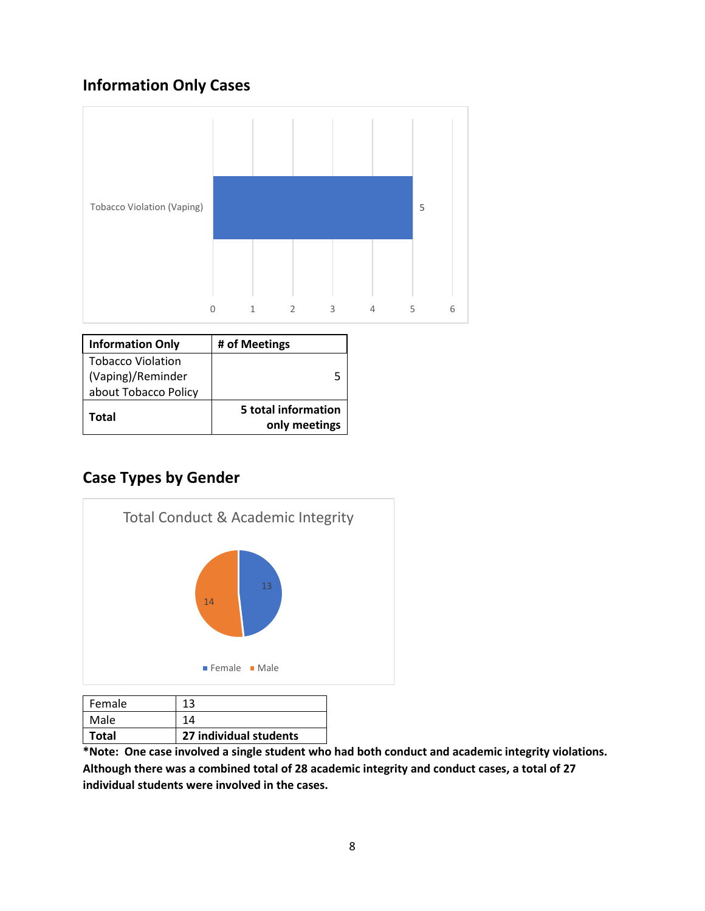# **Information Only Cases**



| <b>Information Only</b>  | # of Meetings                        |
|--------------------------|--------------------------------------|
| <b>Tobacco Violation</b> |                                      |
| (Vaping)/Reminder        |                                      |
| about Tobacco Policy     |                                      |
| Total                    | 5 total information<br>only meetings |

# **Case Types by Gender**



| Female | 13                     |
|--------|------------------------|
| Male   | 14                     |
| Total  | 27 individual students |

**\*Note: One case involved a single student who had both conduct and academic integrity violations. Although there was a combined total of 28 academic integrity and conduct cases, a total of 27 individual students were involved in the cases.**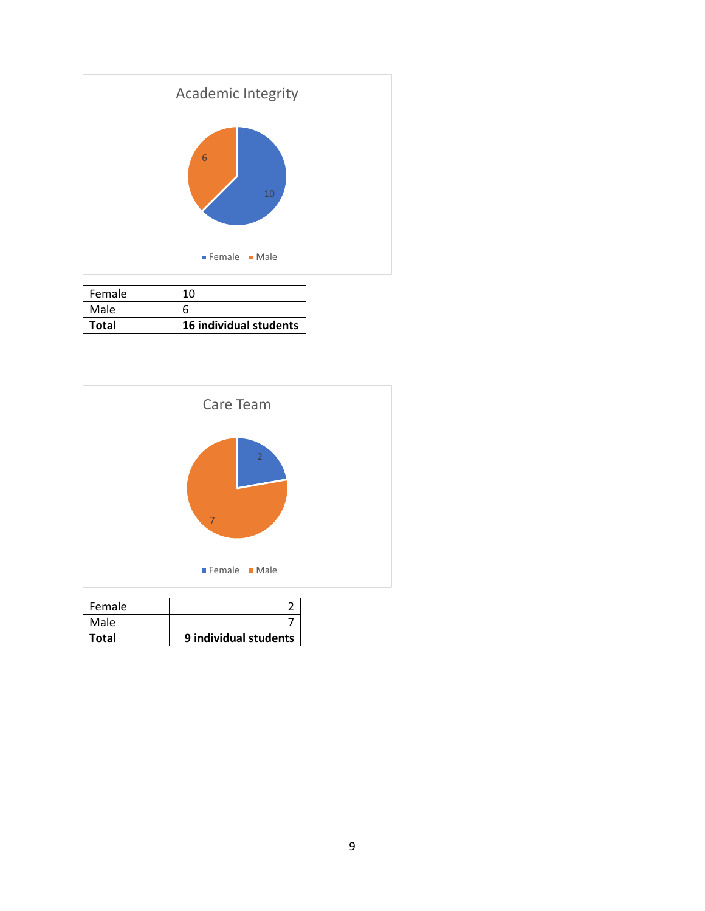

| Total  | 16 individual students |
|--------|------------------------|
| Male   |                        |
| Female | 10                     |



| Total         | 9 individual students |
|---------------|-----------------------|
| Male          |                       |
| <b>Female</b> |                       |